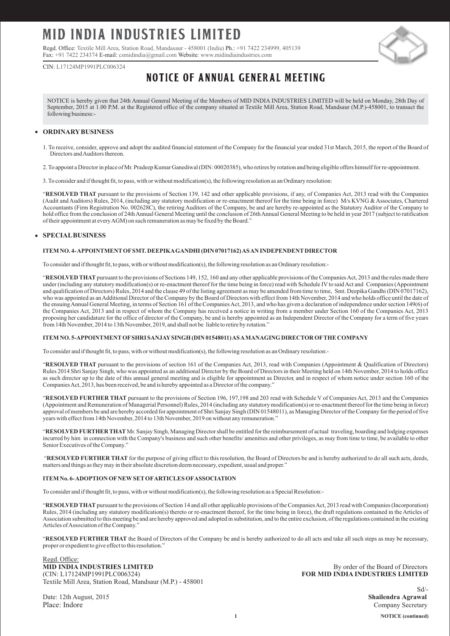# MID INDIA INDUSTRIES LIMITED

Regd. Office: Textile Mill Area, Station Road, Mandasaur - 458001 (India) Ph.: +91 7422 234999, 405139 Fax: +91 7422 234374 E-mail: csmidindia@gmail.com Website: www.midindiaindustries.com



CIN: L17124MP1991PLC006324

## **NOTICE OF ANNUAL GENERAL MEETING**

NOTICE is hereby given that 24th Annual General Meeting of the Members of MID INDIA INDUSTRIES LIMITED will be held on Monday, 28th Day of September, 2015 at 1.00 P.M. at the Registered office of the company situated at Textile Mill Area, Station Road, Mandsaur (M.P.)-458001, to transact the following business:-

#### **ORDINARYBUSINESS**

- 1. To receive, consider, approve and adopt the audited financial statement of the Company for the financial year ended 31st March, 2015, the report of the Board of Directors and Auditors thereon.
- 2. To appoint a Director in place of Mr. Pradeep Kumar Ganediwal (DIN: 00020385), who retires by rotation and being eligible offers himself for re-appointment.
- 3. To consider and if thought fit, to pass, with or without modification(s), the following resolution as an Ordinary resolution:

"**RESOLVED THAT** pursuant to the provisions of Section 139, 142 and other applicable provisions, if any, of Companies Act, 2013 read with the Companies (Audit and Auditors) Rules, 2014, (including any statutory modification or re-enactment thereof for the time being in force) M/s KVNG & Associates, Chartered Accountants (Firm Registration No. 002628C), the retiring Auditors of the Company, be and are hereby re-appointed as the Statutory Auditor of the Company to hold office from the conclusion of 24th Annual General Meeting until the conclusion of 26th Annual General Meeting to be held in year 2017 (subject to ratification of their appointment at every AGM) on such remuneration as may be fixed by the Board."

#### **SPECIALBUSINESS**

#### **ITEM NO. 4- APPOINTMENTOFSMT. DEEPIKAGANDHI (DIN 07017162) AS AN INDEPENDENTDIRECTOR**

To consider and if thought fit, to pass, with or without modification(s), the following resolution as an Ordinary resolution:-

"RESOLVED THAT pursuant to the provisions of Sections 149, 152, 160 and any other applicable provisions of the Companies Act, 2013 and the rules made there under (including any statutory modification(s) or re-enactment thereof for the time being in force) read with Schedule IV to said Act and Companies (Appointment and qualification of Directors) Rules, 2014 and the clause 49 of the listing agreement as may be amended from time to time, Smt. Deepika Gandhi (DIN 07017162), who was appointed as an Additional Director of the Company by the Board of Directors with effect from 14th November, 2014 and who holds office until the date of the ensuing Annual General Meeting, in terms of Section 161 of the Companies Act, 2013, and who has given a declaration of independence under section 149(6) of the Companies Act, 2013 and in respect of whom the Company has received a notice in writing from a member under Section 160 of the Companies Act, 2013 proposing her candidature for the office of director of the Company, be and is hereby appointed as an Independent Director of the Company for a term of five years from 14th November, 2014 to 13th November, 2019, and shall not be liable to retire by rotation."

#### **ITEM NO. 5-APPOINTMENTOFSHRI SANJAYSINGH (DIN 01548011) AS AMANAGING DIRECTOR OFTHE COMPANY**

To consider and if thought fit, to pass, with or without modification(s), the following resolution as an Ordinary resolution:-

"**RESOLVED THAT** pursuant to the provisions of section 161 of the Companies Act, 2013, read with Companies (Appointment & Qualification of Directors) Rules 2014 Shri Sanjay Singh, who was appointed as an additional Director by the Board of Directors in their Meeting held on 14th November, 2014 to holds office as such director up to the date of this annual general meeting and is eligible for appointment as Director, and in respect of whom notice under section 160 of the Companies Act, 2013, has been received, be and is hereby appointed as a Director of the company."

"**RESOLVED FURTHER THAT** pursuant to the provisions of Section 196, 197,198 and 203 read with Schedule V of Companies Act, 2013 and the Companies (Appointment and Remuneration of Managerial Personnel) Rules, 2014 (including any statutory modification(s) or re-enactment thereof for the time being in force) approval of members be and are hereby accorded for appointment of Shri Sanjay Singh (DIN 01548011), as Managing Director of the Company for the period of five years with effect from 14th November, 2014 to 13th November, 2019 on without any remuneration."

"**RESOLVED FURTHER THAT** Mr. Sanjay Singh, Managing Director shall be entitled for the reimbursement of actual traveling, boarding and lodging expenses incurred by him in connection with the Company's business and such other benefits/ amenities and other privileges, as may from time to time, be available to other Senior Executives of the Company."

"**RESOLVED FURTHER THAT** for the purpose of giving effect to this resolution, the Board of Directors be and is hereby authorized to do all such acts, deeds, matters and things as they may in their absolute discretion deem necessary, expedient, usual and proper."

#### **ITEM No. 6- ADOPTION OFNEWSETOFARTICLES OFASSOCIATION**

To consider and if thought fit, to pass, with or without modification(s), the following resolution as a Special Resolution:-

"**RESOLVED THAT**pursuant to the provisions of Section 14 and all other applicable provisions of the Companies Act, 2013 read with Companies (Incorporation) Rules, 2014 (including any statutory modification(s) thereto or re-enactment thereof, for the time being in force), the draft regulations contained in the Articles of Association submitted to this meeting be and are hereby approved and adopted in substitution, and to the entire exclusion, of the regulations contained in the existing Articles of Association of the Company."

"**RESOLVED FURTHER THAT** the Board of Directors of the Company be and is hereby authorized to do all acts and take all such steps as may be necessary, proper or expedient to give effect to this resolution."

Regd. Office: **MID INDIA INDUSTRIES LIMITED** By order of the Board of Directors<br>
(CIN: L17124MP1991PLC006324) **BOR MID INDIA INDUSTRIES LIMITED** Textile Mill Area, Station Road, Mandsaur (M.P.) - 458001

Date: 12th August, 2015

**FOR MID INDIA INDUSTRIES LIMITED** 

Sd/-<br>Shailendra Agrawal Place: Indore Company Secretary Company Secretary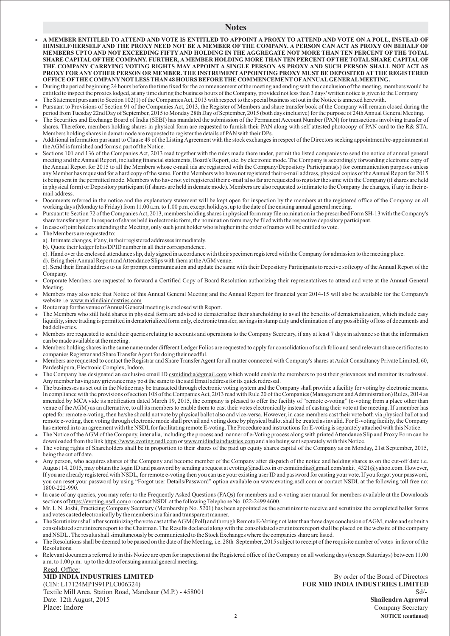#### **Notes**

- **A MEMBER ENTITLED TO ATTEND AND VOTE IS ENTITLED TO APPOINT A PROXY TO ATTEND AND VOTE ON A POLL, INSTEAD OF HIMSELF/HERSELF AND THE PROXY NEED NOT BE A MEMBER OF THE COMPANY. A PERSON CAN ACT AS PROXY ON BEHALF OF MEMBERS UPTO AND NOT EXCEEDING FIFTY AND HOLDING IN THE AGGREGATE NOT MORE THAN TEN PERCENT OF THE TOTAL SHARE CAPITALOFTHE COMPANY. FURTHER, AMEMBER HOLDING MORE THAN TEN PERCENT OFTHE TOTALSHARE CAPITALOF THE COMPANY CARRYING VOTING RIGHTS MAY APPOINT A SINGLE PERSON AS PROXY AND SUCH PERSON SHALL NOT ACT AS PROXY FOR ANY OTHER PERSON OR MEMBER. THE INSTRUMENTAPPOINTING PROXY MUST BE DEPOSITED AT THE REGISTERED OFFICE OFTHE COMPANYNOTLESS THAN 48 HOURS BEFORE THE COMMENCEMENTOFANNUALGENERALMEETING.**
- During the period beginning 24 hours before the time fixed for the commencement of the meeting and ending with the conclusion of the meeting, members would be entitled to inspect the proxies lodged, at any time during the business hours of the Company, provided not less than 3 days' written notice is given to the Company The Statement pursuant to Section 102(1) of the Companies Act, 2013 with respect to the special business set out in the Notice is annexed herewith.
- Pursuant to Provisions of Section 91 of the Companies Act, 2013, the Register of Members and share transfer book of the Company will remain closed during the period from Tuesday 22nd Day of September, 2015 to Monday 28th Day of September, 2015 (both days inclusive) for the purpose of 24th Annual General Meeting.
- The Securities and Exchange Board of India (SEBI) has mandated the submission of the Permanent Account Number (PAN) for transactions involving transfer of shares. Therefore, members holding shares in physical form are requested to furnish their PAN along with self attested photocopy of PAN card to the R& STA. Members holding shares in demat mode are requested to register the details of PAN with their DPs.
- Additional information pursuant to Clause 49 of the Listing Agreement with the stock exchanges in respect of the Directors seeking appointment/re-appointment at the AGM is furnished and forms a part of the Notice.
- Sections 101 and 136 of the Companies Act, 2013 read together with the rules made there under, permit the listed companies to send the notice of annual general meeting and the Annual Report, including financial statements, Board's Report, etc. by electronic mode. The Company is accordingly forwarding electronic copy of the Annual Report for 2015 to all the Members whose e-mail ids are registered with the Company/Depository Participants(s) for communication purposes unless any Member has requested for a hard copy of the same. For the Members who have not registered their e-mail address, physical copies of the Annual Report for 2015 is being sent in the permitted mode. Members who have not yet registered their e-mail id so far are requested to register the same with the Company (if shares are held in physical form) or Depository participant (if shares are held in demate mode). Members are also requested to intimate to the Company the changes, if any in their email address.
- Documents referred in the notice and the explanatory statement will be kept open for inspection by the members at the registered office of the Company on all working days (Monday to Friday) from 11.00 a.m. to 1.00 p.m. except holidays, up to the date of the ensuing annual general meeting.
- Pursuant to Section 72 of the Companies Act, 2013, members holding shares in physical form may file nomination in the prescribed Form SH-13 with the Company's share transfer agent. In respect of shares held in electronic form, the nomination form may be filed with the respective depository participant.
- In case of joint holders attending the Meeting, only such joint holder who is higher in the order of names will be entitled to vote.
- The Members are requested to:
	- a). Intimate changes, if any, in their registered addresses immediately.
	- b). Quote their ledger folio/DPID number in all their correspondence.
	- c). Hand over the enclosed attendance slip, duly signed in accordance with their specimen registered with the Company for admission to the meeting place.
- d). Bring their Annual Report and Attendance Slips with them at the AGM venue.
- e). Send their Email address to us for prompt communication and update the same with their Depository Participants to receive softcopy of the Annual Report of the Company.
- Corporate Members are requested to forward a Certified Copy of Board Resolution authorizing their representatives to attend and vote at the Annual General Meeting.
- Members may also note that Notice of this Annual General Meeting and the Annual Report for financial year 2014-15 will also be available for the Company's website i.e www.midindiaindustries.com
- Route map for the venue of Annual General meeting is enclosed with Report.
- The Members who still hold shares in physical form are advised to dematerialize their shareholding to avail the benefits of dematerialization, which include easy liquidity, since trading is permitted in dematerialized form only, electronic transfer, savings in stamp duty and elimination of any possibility of loss of documents and bad deliveries.
- Members are requested to send their queries relating to accounts and operations to the Company Secretary, if any at least 7 days in advance so that the information can be made available at the meeting.
- Members holding shares in the same name under different Ledger Folios are requested to apply for consolidation of such folio and send relevant share certificates to companies Registrar and Share Transfer Agent for doing their needful.
- Members are requested to contact the Registrar and Share Transfer Agent for all matter connected with Company's shares at Ankit Consultancy Private Limited, 60, Pardeshipura, Electronic Complex, Indore.
- The Company has designated an exclusive email ID csmidindia@gmail.com which would enable the members to post their grievances and monitor its redressal. Any member having any grievance may post the same to the said Email address for its quick redressal.
- The businesses as set out in the Notice may be transacted through electronic voting system and the Company shall provide a facility for voting by electronic means. In compliance with the provisions of section 108 of the Companies Act, 2013 read with Rule 20 of the Companies (Management and Administration) Rules, 2014 as amended by MCA vide its notification dated March 19, 2015, the company is pleased to offer the facility of "remote e-voting" (e-voting from a place other than venue of the AGM) as an alternative, to all its members to enable them to cast their votes electronically instead of casting their vote at the meeting. If a member has opted for remote e-voting, then he/she should not vote by physical ballot also and vice-versa. However, in case members cast their vote both via physical ballot and remote e-voting, then voting through electronic mode shall prevail and voting done by physical ballot shall be treated as invalid. For E-voting facility, the Company has entered in to an agreement with the NSDL for facilitating remote E-voting. The Procedure and instructions for E-voting is separately attached with this Notice.
- The Notice of the AGM of the Company, inter alia, including the process and manner of e-Voting process along with printed Attendance Slip and Proxy Form can be downloaded from the link https://www.evoting.nsdl.com or www.midindiaindustries.com and also being sent separately with this Notice. https://www.evoting.nsdl.com or www.midindiaindustries.com
- The voting rights of Shareholders shall be in proportion to their shares of the paid up equity shares capital of the Company as on Monday, 21st September, 2015, being the cut off date.
- Any person, who acquires shares of the Company and become member of the Company after dispatch of the notice and holding shares as on the cut-off date i.e. August 14, 2015, may obtain the login ID and password by sending a request at evoting@nsdl.co.in or csmidindia@gmail.com/ankit 4321@yahoo.com. However, If you are already registered with NSDL, for remote e-voting then you can use your existing user ID and password for casting your vote. If you forgot your password, you can reset your password by using "Forgot user Details/Password" option available on www.evoting.nsdl.com or contact NSDL at the following toll free no: 1800-222-990.
- In case of any queries, you may refer to the Frequently Asked Questions (FAQs) for members and e-voting user manual for members available at the Downloads sections of https://evoting.nsdl.com or contact NSDL at the following Telephone No. 022-2499 4600.
- Mr. L.N. Joshi, Practicing Company Secretary (Membership No. 5201) has been appointed as the scrutinizer to receive and scrutinize the completed ballot forms and votes casted electronically by the members in a fair and transparent manner.
- The Scrutinizer shall after scrutinizing the vote cast at the AGM (Poll) and through Remote E-Voting not later than three days conclusion of AGM, make and submit a consolidated scrutinizers report to the Chairman. The Results declared along with the consolidated scrutinizers report shall be placed on the website of the company and NSDL. The results shall simultaneously be communicated to the Stock Exchanges where the companies share are listed.
- The Resolutions shall be deemed to be passed on the date of the Meeting, i.e. 28th September, 2015 subject to receipt of the requisite number of votes in favor of the Resolutions.
- Relevant documents referred to in this Notice are open for inspection at the Registered office of the Company on all working days (except Saturdays) between 11.00 a.m. to 1.00 p.m. up to the date of ensuing annual general meeting.

#### Regd. Office: **MID INDIA INDUSTRIES LIMITED** By order of the Board of Directors

(CIN: L17124MP1991PLC006324) **FOR MID INDIA INDUSTRIES LIMITED** Textile Mill Area, Station Road, Mandsaur (M.P.) - 458001 Sd<sup>1</sup> Shailendra Agrawal<br>Date: 12th August, 2015 Date: 12th August, 2015 Place: Indore Company Secretary Company Secretary

**2 NOTICE (continued)**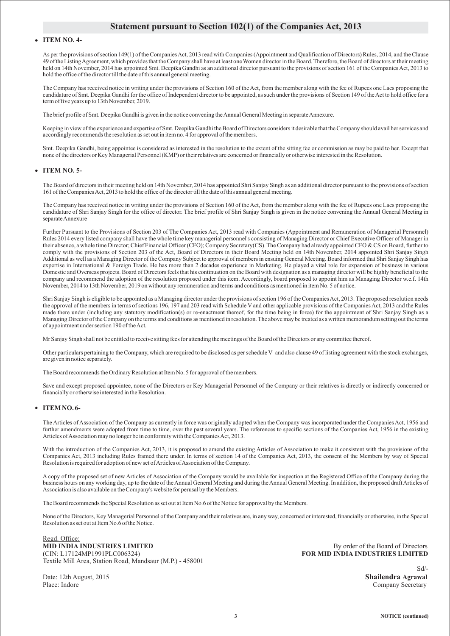## **Statement pursuant to Section 102(1) of the Companies Act, 2013**

#### **ITEM NO. 4-**

As per the provisions of section 149(1) of the Companies Act, 2013 read with Companies (Appointment and Qualification of Directors) Rules, 2014, and the Clause 49 of the Listing Agreement, which provides that the Company shall have at least one Women director in the Board. Therefore, the Board of directors at their meeting held on 14th November, 2014 has appointed Smt. Deepika Gandhi as an additional director pursuant to the provisions of section 161 of the Companies Act, 2013 to hold the office of the director till the date of this annual general meeting.

The Company has received notice in writing under the provisions of Section 160 of the Act, from the member along with the fee of Rupees one Lacs proposing the candidature of Smt. Deepika Gandhi for the office of Independent director to be appointed, as such under the provisions of Section 149 of the Act to hold office for a term of five years up to 13th November, 2019.

The brief profile of Smt. Deepika Gandhi is given in the notice convening the Annual General Meeting in separate Annexure.

Keeping in view of the experience and expertise of Smt. Deepika Gandhi the Board of Directors considers it desirable that the Company should avail her services and accordingly recommends the resolution as set out in item no. 4 for approval of the members.

Smt. Deepika Gandhi, being appointee is considered as interested in the resolution to the extent of the sitting fee or commission as may be paid to her. Except that none of the directors or Key Managerial Personnel (KMP) or their relatives are concerned or financially or otherwise interested in the Resolution.

#### **ITEM NO. 5-**

The Board of directors in their meeting held on 14th November, 2014 has appointed Shri Sanjay Singh as an additional director pursuant to the provisions of section 161 of the Companies Act, 2013 to hold the office of the director till the date of this annual general meeting.

The Company has received notice in writing under the provisions of Section 160 of the Act, from the member along with the fee of Rupees one Lacs proposing the candidature of Shri Sanjay Singh for the office of director. The brief profile of Shri Sanjay Singh is given in the notice convening the Annual General Meeting in separate Annexure

Further Pursuant to the Provisions of Section 203 of The Companies Act, 2013 read with Companies (Appointment and Remuneration of Managerial Personnel) Rules 2014 every listed company shall have the whole time key managerial personnel's consisting of Managing Director or Chief Executive Officer of Manager in their absence, a whole time Director; Chief Financial Officer (CFO); Company Secretary(CS). The Company had already appointed CFO & CS on Board, further to comply with the provisions of Section 203 of the Act, Board of Directors in their Board Meeting held on 14th November, 2014 appointed Shri Sanjay Singh Additional as well as a Managing Director of the Company Subject to approval of members in ensuing General Meeting. Board informed that Shri Sanjay Singh has expertise in International & Foreign Trade. He has more than 2 decades experience in Marketing. He played a vital role for expansion of business in various Domestic and Overseas projects. Board of Directors feels that his continuation on the Board with designation as a managing director will be highly beneficial to the company and recommend the adoption of the resolution proposed under this item. Accordingly, board proposed to appoint him as Managing Director w.e.f. 14th November, 2014 to 13th November, 2019 on without any remuneration and terms and conditions as mentioned in item No. 5 of notice.

Shri Sanjay Singh is eligible to be appointed as a Managing director under the provisions of section 196 of the Companies Act, 2013. The proposed resolution needs the approval of the members in terms of sections 196, 197 and 203 read with Schedule V and other applicable provisions of the Companies Act, 2013 and the Rules made there under (including any statutory modification(s) or re-enactment thereof, for the time being in force) for the appointment of Shri Sanjay Singh as a Managing Director of the Company on the terms and conditions as mentioned in resolution. The above may be treated as a written memorandum setting out the terms of appointment under section 190 of the Act.

Mr Sanjay Singh shall not be entitled to receive sitting fees for attending the meetings of the Board of the Directors or any committee thereof.

Other particulars pertaining to the Company, which are required to be disclosed as per schedule V and also clause 49 of listing agreement with the stock exchanges, are given in notice separately.

The Board recommends the Ordinary Resolution at Item No. 5 for approval of the members.

Save and except proposed appointee, none of the Directors or Key Managerial Personnel of the Company or their relatives is directly or indirectly concerned or financially or otherwise interested in the Resolution.

#### **ITEM NO. 6-**

The Articles of Association of the Company as currently in force was originally adopted when the Company was incorporated under the Companies Act, 1956 and further amendments were adopted from time to time, over the past several years. The references to specific sections of the Companies Act, 1956 in the existing Articles of Association may no longer be in conformity with the Companies Act, 2013.

With the introduction of the Companies Act, 2013, it is proposed to amend the existing Articles of Association to make it consistent with the provisions of the Companies Act, 2013 including Rules framed there under. In terms of section 14 of the Companies Act, 2013, the consent of the Members by way of Special Resolution is required for adoption of new set of Articles of Association of the Company.

A copy of the proposed set of new Articles of Association of the Company would be available for inspection at the Registered Office of the Company during the business hours on any working day, up to the date of the Annual General Meeting and during the Annual General Meeting. In addition, the proposed draft Articles of Association is also available on the Company's website for perusal by the Members.

The Board recommends the Special Resolution as set out at Item No.6 of the Notice for approval by the Members.

None of the Directors, Key Managerial Personnel of the Company and their relatives are, in any way, concerned or interested, financially or otherwise, in the Special Resolution as set out at Item No.6 of the Notice.

Regd. Office: **MID INDIA INDUSTRIES LIMITED** By order of the Board of Directors<br>
(CIN: L17124MP1991PLC006324) **BOR MID INDIA INDUSTRIES LIMITED** Textile Mill Area, Station Road, Mandsaur (M.P.) - 458001

**FOR MID INDIA INDUSTRIES LIMITED** 

Date: 12th August, 2015 **Shailendra Agrawal** Place: Indore Company Secretary Company Secretary

Sd/-